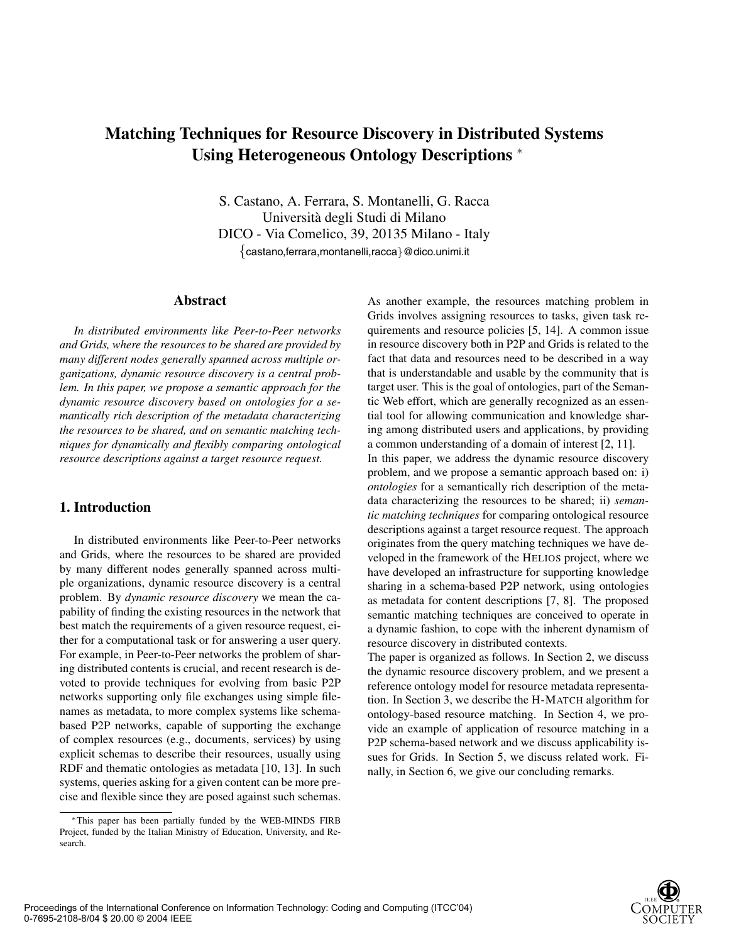# **Matching Techniques for Resource Discovery in Distributed Systems Using Heterogeneous Ontology Descriptions** <sup>∗</sup>

S. Castano, A. Ferrara, S. Montanelli, G. Racca Universita degli Studi di Milano ` DICO - Via Comelico, 39, 20135 Milano - Italy {castano,ferrara,montanelli,racca}@dico.unimi.it

## **Abstract**

*In distributed environments like Peer-to-Peer networks and Grids, where the resources to be shared are provided by many different nodes generally spanned across multiple organizations, dynamic resource discovery is a central problem. In this paper, we propose a semantic approach for the dynamic resource discovery based on ontologies for a semantically rich description of the metadata characterizing the resources to be shared, and on semantic matching techniques for dynamically and flexibly comparing ontological resource descriptions against a target resource request.*

# **1. Introduction**

In distributed environments like Peer-to-Peer networks and Grids, where the resources to be shared are provided by many different nodes generally spanned across multiple organizations, dynamic resource discovery is a central problem. By *dynamic resource discovery* we mean the capability of finding the existing resources in the network that best match the requirements of a given resource request, either for a computational task or for answering a user query. For example, in Peer-to-Peer networks the problem of sharing distributed contents is crucial, and recent research is devoted to provide techniques for evolving from basic P2P networks supporting only file exchanges using simple filenames as metadata, to more complex systems like schemabased P2P networks, capable of supporting the exchange of complex resources (e.g., documents, services) by using explicit schemas to describe their resources, usually using RDF and thematic ontologies as metadata [10, 13]. In such systems, queries asking for a given content can be more precise and flexible since they are posed against such schemas.

As another example, the resources matching problem in Grids involves assigning resources to tasks, given task requirements and resource policies [5, 14]. A common issue in resource discovery both in P2P and Grids is related to the fact that data and resources need to be described in a way that is understandable and usable by the community that is target user. This is the goal of ontologies, part of the Semantic Web effort, which are generally recognized as an essential tool for allowing communication and knowledge sharing among distributed users and applications, by providing a common understanding of a domain of interest [2, 11]. In this paper, we address the dynamic resource discovery problem, and we propose a semantic approach based on: i) *ontologies* for a semantically rich description of the metadata characterizing the resources to be shared; ii) *semantic matching techniques* for comparing ontological resource descriptions against a target resource request. The approach originates from the query matching techniques we have developed in the framework of the HELIOS project, where we have developed an infrastructure for supporting knowledge sharing in a schema-based P2P network, using ontologies as metadata for content descriptions [7, 8]. The proposed semantic matching techniques are conceived to operate in a dynamic fashion, to cope with the inherent dynamism of resource discovery in distributed contexts.

The paper is organized as follows. In Section 2, we discuss the dynamic resource discovery problem, and we present a reference ontology model for resource metadata representation. In Section 3, we describe the H-MATCH algorithm for ontology-based resource matching. In Section 4, we provide an example of application of resource matching in a P2P schema-based network and we discuss applicability issues for Grids. In Section 5, we discuss related work. Finally, in Section 6, we give our concluding remarks.

<sup>∗</sup>This paper has been partially funded by the WEB-MINDS FIRB Project, funded by the Italian Ministry of Education, University, and Research.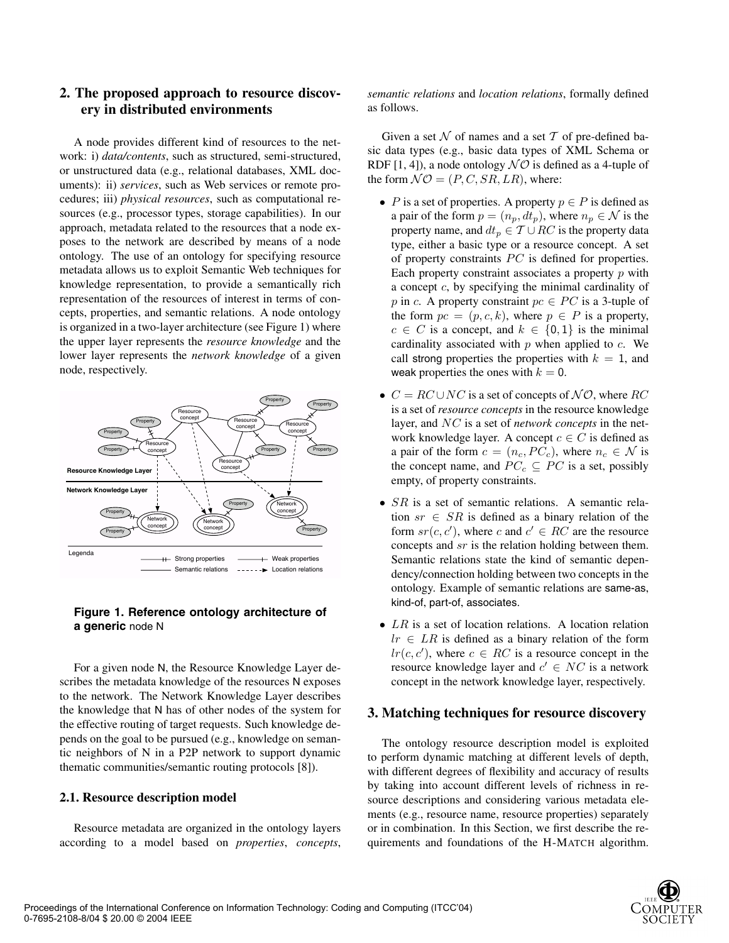# **2. The proposed approach to resource discovery in distributed environments**

A node provides different kind of resources to the network: i) *data/contents*, such as structured, semi-structured, or unstructured data (e.g., relational databases, XML documents): ii) *services*, such as Web services or remote procedures; iii) *physical resources*, such as computational resources (e.g., processor types, storage capabilities). In our approach, metadata related to the resources that a node exposes to the network are described by means of a node ontology. The use of an ontology for specifying resource metadata allows us to exploit Semantic Web techniques for knowledge representation, to provide a semantically rich representation of the resources of interest in terms of concepts, properties, and semantic relations. A node ontology is organized in a two-layer architecture (see Figure 1) where the upper layer represents the *resource knowledge* and the lower layer represents the *network knowledge* of a given node, respectively.



# **Figure 1. Reference ontology architecture of a generic** node N

For a given node N, the Resource Knowledge Layer describes the metadata knowledge of the resources N exposes to the network. The Network Knowledge Layer describes the knowledge that N has of other nodes of the system for the effective routing of target requests. Such knowledge depends on the goal to be pursued (e.g., knowledge on semantic neighbors of N in a P2P network to support dynamic thematic communities/semantic routing protocols [8]).

### **2.1. Resource description model**

Resource metadata are organized in the ontology layers according to a model based on *properties*, *concepts*,

*semantic relations* and *location relations*, formally defined as follows.

Given a set  $N$  of names and a set  $T$  of pre-defined basic data types (e.g., basic data types of XML Schema or RDF [1, 4]), a node ontology  $N\mathcal{O}$  is defined as a 4-tuple of the form  $\mathcal{NO} = (P, C, SR, LR)$ , where:

- *P* is a set of properties. A property  $p \in P$  is defined as a pair of the form  $p = (n_p, dt_p)$ , where  $n_p \in \mathcal{N}$  is the property name, and  $dt_p \in T \cup RC$  is the property data type, either a basic type or a resource concept. A set of property constraints *PC* is defined for properties. Each property constraint associates a property *p* with a concept *c*, by specifying the minimal cardinality of *p* in *c*. A property constraint  $pc \in PC$  is a 3-tuple of the form  $pc = (p, c, k)$ , where  $p \in P$  is a property,  $c \in C$  is a concept, and  $k \in \{0, 1\}$  is the minimal cardinality associated with *p* when applied to *c*. We call strong properties the properties with  $k = 1$ , and weak properties the ones with  $k = 0$ .
- $C = RC \cup NC$  is a set of concepts of  $N\mathcal{O}$ , where  $RC$ is a set of *resource concepts* in the resource knowledge layer, and *NC* is a set of *network concepts* in the network knowledge layer. A concept  $c \in C$  is defined as a pair of the form  $c = (n_c, PC_c)$ , where  $n_c \in \mathcal{N}$  is the concept name, and  $PC_c \subseteq PC$  is a set, possibly empty, of property constraints.
- *SR* is a set of semantic relations. A semantic relation  $sr \in SR$  is defined as a binary relation of the form  $sr(c, c')$ , where *c* and  $c' \in RC$  are the resource concepts and *sr* is the relation holding between them. Semantic relations state the kind of semantic dependency/connection holding between two concepts in the ontology. Example of semantic relations are same-as, kind-of, part-of, associates.
- *LR* is a set of location relations. A location relation  $lr \in LR$  is defined as a binary relation of the form  $lr(c, c')$ , where  $c \in RC$  is a resource concept in the resource knowledge layer and  $c' \in NC$  is a network concept in the network knowledge layer, respectively.

### **3. Matching techniques for resource discovery**

The ontology resource description model is exploited to perform dynamic matching at different levels of depth, with different degrees of flexibility and accuracy of results by taking into account different levels of richness in resource descriptions and considering various metadata elements (e.g., resource name, resource properties) separately or in combination. In this Section, we first describe the requirements and foundations of the H-MATCH algorithm.

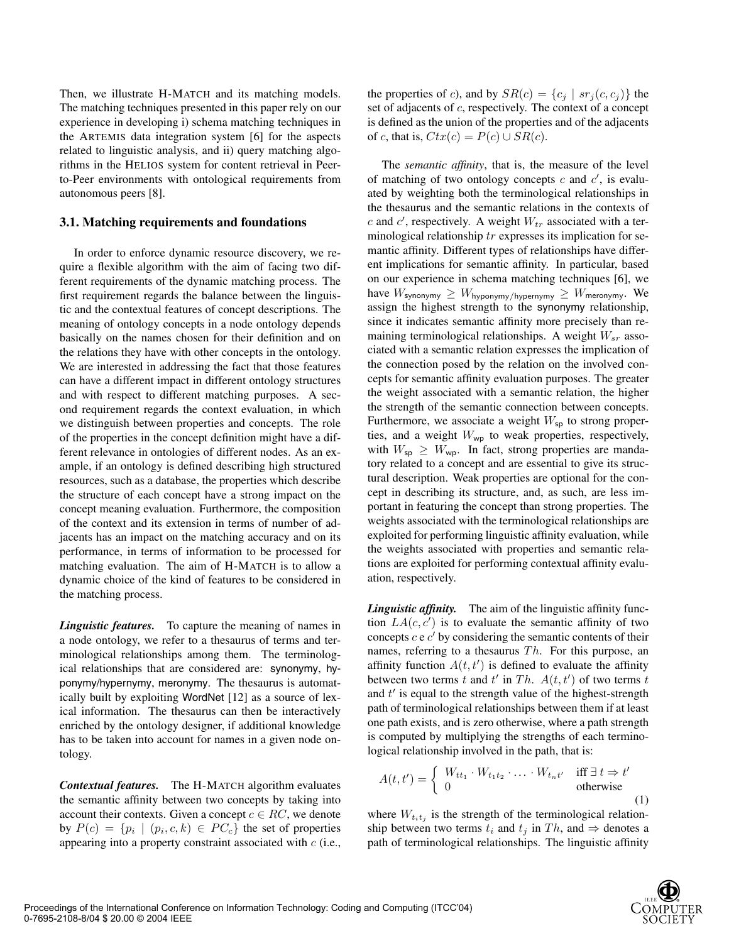Then, we illustrate H-MATCH and its matching models. The matching techniques presented in this paper rely on our experience in developing i) schema matching techniques in the ARTEMIS data integration system [6] for the aspects related to linguistic analysis, and ii) query matching algorithms in the HELIOS system for content retrieval in Peerto-Peer environments with ontological requirements from autonomous peers [8].

#### **3.1. Matching requirements and foundations**

In order to enforce dynamic resource discovery, we require a flexible algorithm with the aim of facing two different requirements of the dynamic matching process. The first requirement regards the balance between the linguistic and the contextual features of concept descriptions. The meaning of ontology concepts in a node ontology depends basically on the names chosen for their definition and on the relations they have with other concepts in the ontology. We are interested in addressing the fact that those features can have a different impact in different ontology structures and with respect to different matching purposes. A second requirement regards the context evaluation, in which we distinguish between properties and concepts. The role of the properties in the concept definition might have a different relevance in ontologies of different nodes. As an example, if an ontology is defined describing high structured resources, such as a database, the properties which describe the structure of each concept have a strong impact on the concept meaning evaluation. Furthermore, the composition of the context and its extension in terms of number of adjacents has an impact on the matching accuracy and on its performance, in terms of information to be processed for matching evaluation. The aim of H-MATCH is to allow a dynamic choice of the kind of features to be considered in the matching process.

*Linguistic features.* To capture the meaning of names in a node ontology, we refer to a thesaurus of terms and terminological relationships among them. The terminological relationships that are considered are: synonymy, hyponymy/hypernymy, meronymy. The thesaurus is automatically built by exploiting WordNet [12] as a source of lexical information. The thesaurus can then be interactively enriched by the ontology designer, if additional knowledge has to be taken into account for names in a given node ontology.

*Contextual features.* The H-MATCH algorithm evaluates the semantic affinity between two concepts by taking into account their contexts. Given a concept  $c \in RC$ , we denote by  $P(c) = \{p_i \mid (p_i, c, k) \in PC_c\}$  the set of properties appearing into a property constraint associated with *c* (i.e., the properties of *c*), and by  $SR(c) = \{c_j \mid sr_j(c, c_j)\}\)$ set of adjacents of *c*, respectively. The context of a concept is defined as the union of the properties and of the adjacents of *c*, that is,  $Ctx(c) = P(c) \cup SR(c)$ .

The *semantic affinity*, that is, the measure of the level of matching of two ontology concepts *c* and *c* , is evaluated by weighting both the terminological relationships in the thesaurus and the semantic relations in the contexts of *c* and *c* , respectively. A weight *Wtr* associated with a terminological relationship *tr* expresses its implication for semantic affinity. Different types of relationships have different implications for semantic affinity. In particular, based on our experience in schema matching techniques [6], we have  $W_{\text{synonymy}} \geq W_{\text{hyponymy/hypernymy}} \geq W_{\text{meronymy}}$ . We assign the highest strength to the synonymy relationship, since it indicates semantic affinity more precisely than remaining terminological relationships. A weight *Wsr* associated with a semantic relation expresses the implication of the connection posed by the relation on the involved concepts for semantic affinity evaluation purposes. The greater the weight associated with a semantic relation, the higher the strength of the semantic connection between concepts. Furthermore, we associate a weight  $W_{sp}$  to strong properties, and a weight  $W_{wp}$  to weak properties, respectively, with  $W_{\text{sp}} \geq W_{\text{wp}}$ . In fact, strong properties are mandatory related to a concept and are essential to give its structural description. Weak properties are optional for the concept in describing its structure, and, as such, are less important in featuring the concept than strong properties. The weights associated with the terminological relationships are exploited for performing linguistic affinity evaluation, while the weights associated with properties and semantic relations are exploited for performing contextual affinity evaluation, respectively.

*Linguistic affinity.* The aim of the linguistic affinity function  $LA(c, c')$  is to evaluate the semantic affinity of two concepts  $c \cdot c'$  by considering the semantic contents of their names, referring to a thesaurus *Th*. For this purpose, an affinity function  $A(t, t')$  is defined to evaluate the affinity between two terms  $t$  and  $t'$  in  $Th$ .  $A(t, t')$  of two terms  $t$ and *t* is equal to the strength value of the highest-strength path of terminological relationships between them if at least one path exists, and is zero otherwise, where a path strength is computed by multiplying the strengths of each terminological relationship involved in the path, that is:

$$
A(t, t') = \begin{cases} W_{tt_1} \cdot W_{t_1 t_2} \cdot \ldots \cdot W_{t_n t'} & \text{iff } \exists t \Rightarrow t' \\ 0 & \text{otherwise} \end{cases}
$$
 (1)

where  $W_{t_i t_j}$  is the strength of the terminological relationship between two terms  $t_i$  and  $t_j$  in  $Th$ , and  $\Rightarrow$  denotes a path of terminological relationships. The linguistic affinity

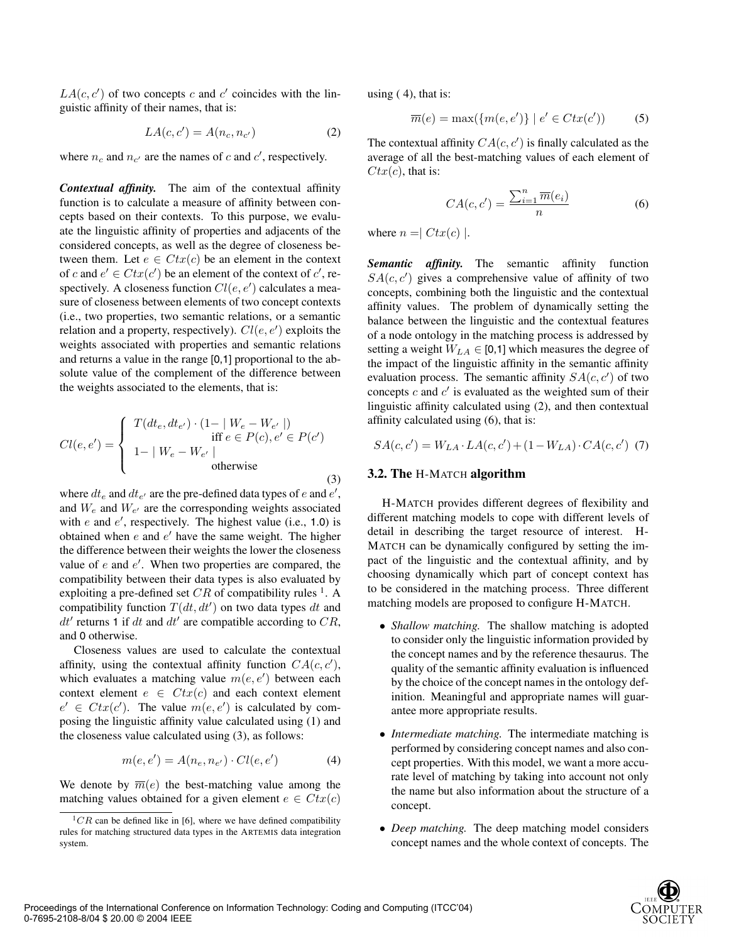$LA(c, c')$  of two concepts *c* and *c*' coincides with the linguistic affinity of their names, that is:

$$
LA(c, c') = A(n_c, n_{c'})
$$
\n<sup>(2)</sup>

where  $n_c$  and  $n_{c'}$  are the names of *c* and *c'*, respectively.

*Contextual affinity.* The aim of the contextual affinity function is to calculate a measure of affinity between concepts based on their contexts. To this purpose, we evaluate the linguistic affinity of properties and adjacents of the considered concepts, as well as the degree of closeness between them. Let  $e \in Ctx(c)$  be an element in the context of *c* and  $e' \in Ctx(c')$  be an element of the context of *c*', respectively. A closeness function *Cl*(*e, e* ) calculates a measure of closeness between elements of two concept contexts (i.e., two properties, two semantic relations, or a semantic relation and a property, respectively). *Cl*(*e, e* ) exploits the weights associated with properties and semantic relations and returns a value in the range [0,1] proportional to the absolute value of the complement of the difference between the weights associated to the elements, that is:

$$
Cl(e, e') = \begin{cases} T(dt_e, dt_{e'}) \cdot (1 - |W_e - W_{e'}|) & \text{iff } e \in P(c), e' \in P(c') \\ 1 - |W_e - W_{e'}| & \text{otherwise} \end{cases}
$$
(3)

where  $dt_e$  and  $dt_{e'}$  are the pre-defined data types of  $e$  and  $e'$ , and  $W_e$  and  $W_{e'}$  are the corresponding weights associated with *e* and *e'*, respectively. The highest value (i.e., 1.0) is obtained when  $e$  and  $e'$  have the same weight. The higher the difference between their weights the lower the closeness value of *e* and *e* . When two properties are compared, the compatibility between their data types is also evaluated by exploiting a pre-defined set  $CR$  of compatibility rules <sup>1</sup>. A compatibility function  $T(dt, dt')$  on two data types  $dt$  and *dt* returns 1 if *dt* and *dt* are compatible according to *CR*, and 0 otherwise.

Closeness values are used to calculate the contextual affinity, using the contextual affinity function  $CA(c, c')$ , which evaluates a matching value *m*(*e, e* ) between each context element  $e \in Ctx(c)$  and each context element  $e' \in Ctx(c')$ . The value  $m(e, e')$  is calculated by composing the linguistic affinity value calculated using (1) and the closeness value calculated using (3), as follows:

$$
m(e, e') = A(n_e, n_{e'}) \cdot Cl(e, e')
$$
 (4)

We denote by  $\overline{m}(e)$  the best-matching value among the matching values obtained for a given element  $e \in Ctx(c)$ 

using  $(4)$ , that is:

$$
\overline{m}(e) = \max(\{m(e, e')\} \mid e' \in Ctx(c')) \tag{5}
$$

The contextual affinity  $CA(c, c')$  is finally calculated as the average of all the best-matching values of each element of  $Ctx(c)$ , that is:

$$
CA(c, c') = \frac{\sum_{i=1}^{n} \overline{m}(e_i)}{n}
$$
 (6)

where  $n = | Ctx(c) |$ .

*Semantic affinity.* The semantic affinity function  $SA(c, c')$  gives a comprehensive value of affinity of two concepts, combining both the linguistic and the contextual affinity values. The problem of dynamically setting the balance between the linguistic and the contextual features of a node ontology in the matching process is addressed by setting a weight  $W_{LA} \in [0,1]$  which measures the degree of the impact of the linguistic affinity in the semantic affinity evaluation process. The semantic affinity  $SA(c, c')$  of two concepts  $c$  and  $c'$  is evaluated as the weighted sum of their linguistic affinity calculated using (2), and then contextual affinity calculated using (6), that is:

$$
SA(c, c') = W_{LA} \cdot LA(c, c') + (1 - W_{LA}) \cdot CA(c, c') \tag{7}
$$

#### **3.2. The** H-MATCH **algorithm**

H-MATCH provides different degrees of flexibility and different matching models to cope with different levels of detail in describing the target resource of interest. H-MATCH can be dynamically configured by setting the impact of the linguistic and the contextual affinity, and by choosing dynamically which part of concept context has to be considered in the matching process. Three different matching models are proposed to configure H-MATCH.

- *Shallow matching.* The shallow matching is adopted to consider only the linguistic information provided by the concept names and by the reference thesaurus. The quality of the semantic affinity evaluation is influenced by the choice of the concept names in the ontology definition. Meaningful and appropriate names will guarantee more appropriate results.
- *Intermediate matching.* The intermediate matching is performed by considering concept names and also concept properties. With this model, we want a more accurate level of matching by taking into account not only the name but also information about the structure of a concept.
- *Deep matching.* The deep matching model considers concept names and the whole context of concepts. The



 ${}^{1}CR$  can be defined like in [6], where we have defined compatibility rules for matching structured data types in the ARTEMIS data integration system.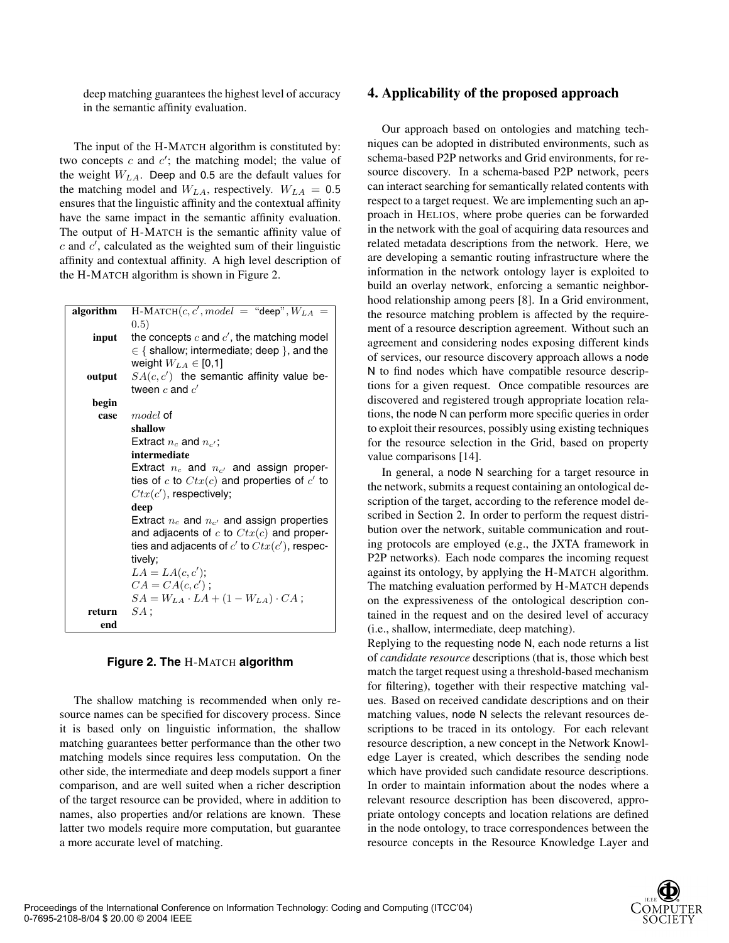deep matching guarantees the highest level of accuracy in the semantic affinity evaluation.

The input of the H-MATCH algorithm is constituted by: two concepts  $c$  and  $c'$ ; the matching model; the value of the weight  $W_{LA}$ . Deep and 0.5 are the default values for the matching model and  $W_{LA}$ , respectively.  $W_{LA} = 0.5$ ensures that the linguistic affinity and the contextual affinity have the same impact in the semantic affinity evaluation. The output of H-MATCH is the semantic affinity value of *c* and *c* , calculated as the weighted sum of their linguistic affinity and contextual affinity. A high level description of the H-MATCH algorithm is shown in Figure 2.

| algorithm | H-MATCH $(c, c', model = "deep", W_{LA} =$          |
|-----------|-----------------------------------------------------|
|           | (0.5)                                               |
| input     | the concepts $c$ and $c'$ , the matching model      |
|           | $\in \{$ shallow; intermediate; deep $\}$ , and the |
|           | weight $W_{LA} \in [0,1]$                           |
| output    | $SA(c, c')$ the semantic affinity value be-         |
|           | tween $c$ and $c'$                                  |
| begin     |                                                     |
| case      | <i>model</i> of                                     |
|           | shallow                                             |
|           | Extract $n_c$ and $n_{c'}$ ;                        |
|           | intermediate                                        |
|           | Extract $n_c$ and $n_{c'}$ and assign proper-       |
|           | ties of $c$ to $Ctx(c)$ and properties of $c'$ to   |
|           | $Ctx(c')$ , respectively;                           |
|           | deep                                                |
|           | Extract $n_c$ and $n_{c'}$ and assign properties    |
|           | and adjacents of c to $Ctx(c)$ and proper-          |
|           | ties and adjacents of $c'$ to $Ctx(c')$ , respec-   |
|           | tively;                                             |
|           | $LA = LA(c, c')$ ;                                  |
|           | $CA = CA(c, c')$ ;                                  |
|           | $SA = W_{LA} \cdot LA + (1 - W_{LA}) \cdot CA$ ;    |
| return    | SA;                                                 |
| end       |                                                     |

#### **Figure 2. The** H-MATCH **algorithm**

The shallow matching is recommended when only resource names can be specified for discovery process. Since it is based only on linguistic information, the shallow matching guarantees better performance than the other two matching models since requires less computation. On the other side, the intermediate and deep models support a finer comparison, and are well suited when a richer description of the target resource can be provided, where in addition to names, also properties and/or relations are known. These latter two models require more computation, but guarantee a more accurate level of matching.

#### **4. Applicability of the proposed approach**

Our approach based on ontologies and matching techniques can be adopted in distributed environments, such as schema-based P2P networks and Grid environments, for resource discovery. In a schema-based P2P network, peers can interact searching for semantically related contents with respect to a target request. We are implementing such an approach in HELIOS, where probe queries can be forwarded in the network with the goal of acquiring data resources and related metadata descriptions from the network. Here, we are developing a semantic routing infrastructure where the information in the network ontology layer is exploited to build an overlay network, enforcing a semantic neighborhood relationship among peers [8]. In a Grid environment, the resource matching problem is affected by the requirement of a resource description agreement. Without such an agreement and considering nodes exposing different kinds of services, our resource discovery approach allows a node N to find nodes which have compatible resource descriptions for a given request. Once compatible resources are discovered and registered trough appropriate location relations, the node N can perform more specific queries in order to exploit their resources, possibly using existing techniques for the resource selection in the Grid, based on property value comparisons [14].

In general, a node N searching for a target resource in the network, submits a request containing an ontological description of the target, according to the reference model described in Section 2. In order to perform the request distribution over the network, suitable communication and routing protocols are employed (e.g., the JXTA framework in P2P networks). Each node compares the incoming request against its ontology, by applying the H-MATCH algorithm. The matching evaluation performed by H-MATCH depends on the expressiveness of the ontological description contained in the request and on the desired level of accuracy (i.e., shallow, intermediate, deep matching).

Replying to the requesting node N, each node returns a list of *candidate resource* descriptions (that is, those which best match the target request using a threshold-based mechanism for filtering), together with their respective matching values. Based on received candidate descriptions and on their matching values, node N selects the relevant resources descriptions to be traced in its ontology. For each relevant resource description, a new concept in the Network Knowledge Layer is created, which describes the sending node which have provided such candidate resource descriptions. In order to maintain information about the nodes where a relevant resource description has been discovered, appropriate ontology concepts and location relations are defined in the node ontology, to trace correspondences between the resource concepts in the Resource Knowledge Layer and

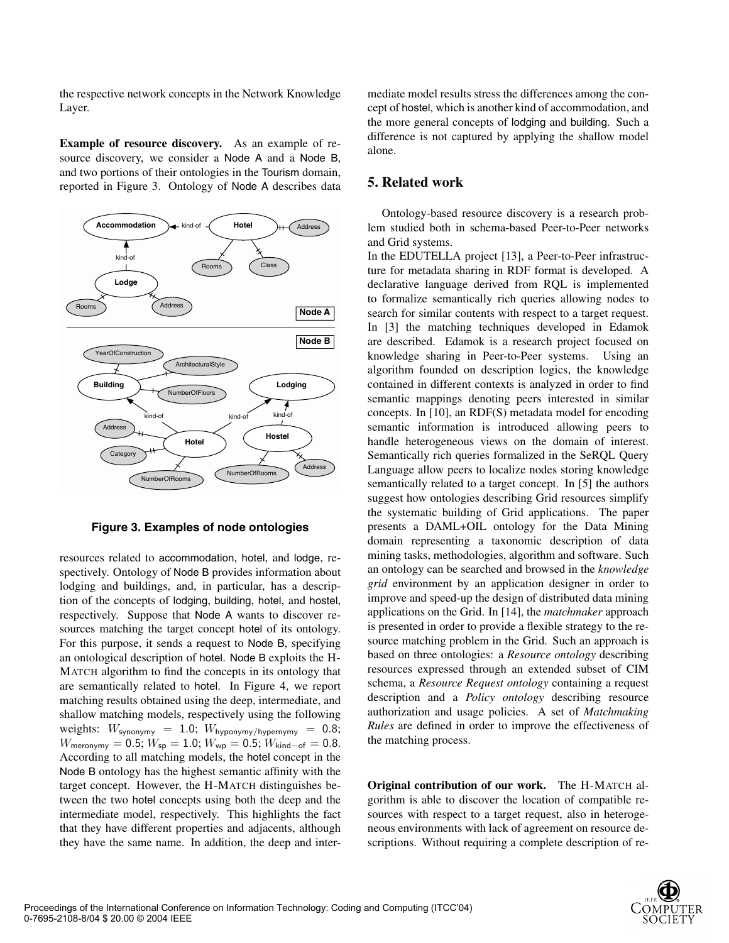the respective network concepts in the Network Knowledge Layer.

**Example of resource discovery.** As an example of resource discovery, we consider a Node A and a Node B, and two portions of their ontologies in the Tourism domain, reported in Figure 3. Ontology of Node A describes data



**Figure 3. Examples of node ontologies**

resources related to accommodation, hotel, and lodge, respectively. Ontology of Node B provides information about lodging and buildings, and, in particular, has a description of the concepts of lodging, building, hotel, and hostel, respectively. Suppose that Node A wants to discover resources matching the target concept hotel of its ontology. For this purpose, it sends a request to Node B, specifying an ontological description of hotel. Node B exploits the H-MATCH algorithm to find the concepts in its ontology that are semantically related to hotel. In Figure 4, we report matching results obtained using the deep, intermediate, and shallow matching models, respectively using the following weights:  $W_{\text{synonymy}} = 1.0$ ;  $W_{\text{hyponymy/hypernymy}} = 0.8$ ;  $W_{\text{meronymy}} = 0.5; W_{\text{sp}} = 1.0; W_{\text{wp}} = 0.5; W_{\text{kind-of}} = 0.8.$ According to all matching models, the hotel concept in the Node B ontology has the highest semantic affinity with the target concept. However, the H-MATCH distinguishes between the two hotel concepts using both the deep and the intermediate model, respectively. This highlights the fact that they have different properties and adjacents, although they have the same name. In addition, the deep and intermediate model results stress the differences among the concept of hostel, which is another kind of accommodation, and the more general concepts of lodging and building. Such a difference is not captured by applying the shallow model alone.

# **5. Related work**

Ontology-based resource discovery is a research problem studied both in schema-based Peer-to-Peer networks and Grid systems.

In the EDUTELLA project [13], a Peer-to-Peer infrastructure for metadata sharing in RDF format is developed. A declarative language derived from RQL is implemented to formalize semantically rich queries allowing nodes to search for similar contents with respect to a target request. In [3] the matching techniques developed in Edamok are described. Edamok is a research project focused on knowledge sharing in Peer-to-Peer systems. Using an algorithm founded on description logics, the knowledge contained in different contexts is analyzed in order to find semantic mappings denoting peers interested in similar concepts. In [10], an RDF(S) metadata model for encoding semantic information is introduced allowing peers to handle heterogeneous views on the domain of interest. Semantically rich queries formalized in the SeRQL Query Language allow peers to localize nodes storing knowledge semantically related to a target concept. In [5] the authors suggest how ontologies describing Grid resources simplify the systematic building of Grid applications. The paper presents a DAML+OIL ontology for the Data Mining domain representing a taxonomic description of data mining tasks, methodologies, algorithm and software. Such an ontology can be searched and browsed in the *knowledge grid* environment by an application designer in order to improve and speed-up the design of distributed data mining applications on the Grid. In [14], the *matchmaker* approach is presented in order to provide a flexible strategy to the resource matching problem in the Grid. Such an approach is based on three ontologies: a *Resource ontology* describing resources expressed through an extended subset of CIM schema, a *Resource Request ontology* containing a request description and a *Policy ontology* describing resource authorization and usage policies. A set of *Matchmaking Rules* are defined in order to improve the effectiveness of the matching process.

**Original contribution of our work.** The H-MATCH algorithm is able to discover the location of compatible resources with respect to a target request, also in heterogeneous environments with lack of agreement on resource descriptions. Without requiring a complete description of re-